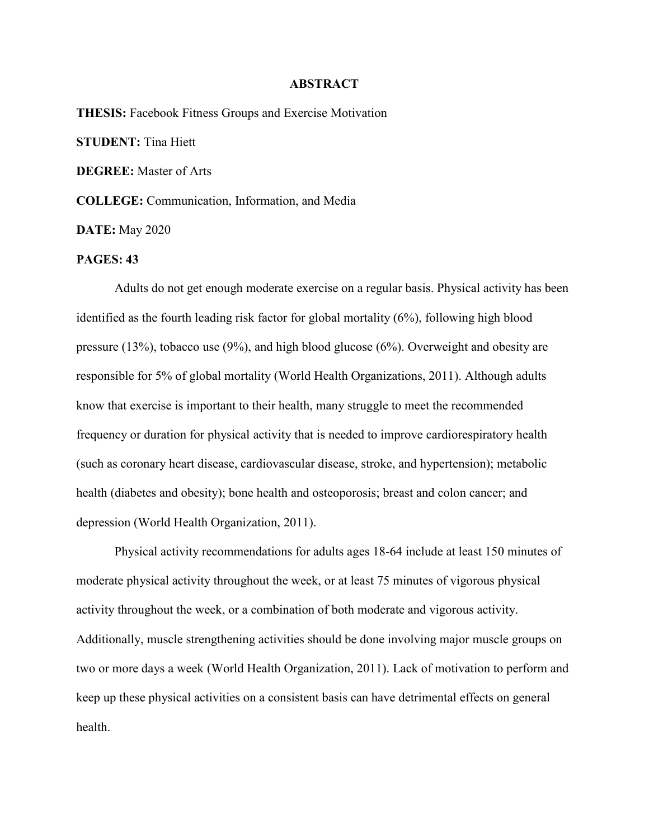## **ABSTRACT**

**THESIS:** Facebook Fitness Groups and Exercise Motivation **STUDENT:** Tina Hiett **DEGREE:** Master of Arts **COLLEGE:** Communication, Information, and Media **DATE:** May 2020

## **PAGES: 43**

Adults do not get enough moderate exercise on a regular basis. Physical activity has been identified as the fourth leading risk factor for global mortality (6%), following high blood pressure (13%), tobacco use (9%), and high blood glucose (6%). Overweight and obesity are responsible for 5% of global mortality (World Health Organizations, 2011). Although adults know that exercise is important to their health, many struggle to meet the recommended frequency or duration for physical activity that is needed to improve cardiorespiratory health (such as coronary heart disease, cardiovascular disease, stroke, and hypertension); metabolic health (diabetes and obesity); bone health and osteoporosis; breast and colon cancer; and depression (World Health Organization, 2011).

Physical activity recommendations for adults ages 18-64 include at least 150 minutes of moderate physical activity throughout the week, or at least 75 minutes of vigorous physical activity throughout the week, or a combination of both moderate and vigorous activity. Additionally, muscle strengthening activities should be done involving major muscle groups on two or more days a week (World Health Organization, 2011). Lack of motivation to perform and keep up these physical activities on a consistent basis can have detrimental effects on general health.